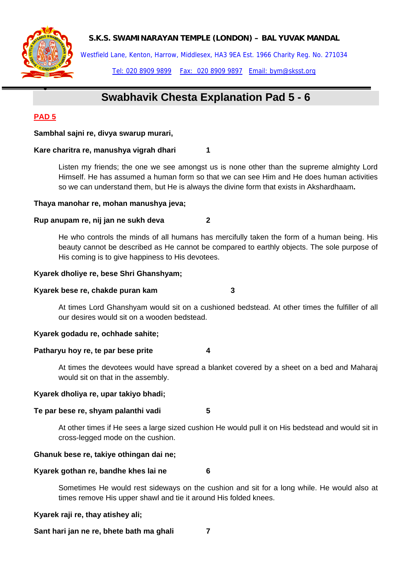**S.K.S. SWAMINARAYAN TEMPLE (LONDON) – BAL YUVAK MANDAL** 



Westfield Lane, Kenton, Harrow, Middlesex, HA3 9EA Est. 1966 Charity Reg. No. 271034

Tel: 020 8909 9899 Fax: 020 8909 9897 Email: bym@sksst.org

# **Swabhavik Chesta Explanation Pad 5 - 6**

# **PAD 5**

•

**Sambhal sajni re, divya swarup murari,** 

## Kare charitra re, manushya vigrah dhari 1

Listen my friends; the one we see amongst us is none other than the supreme almighty Lord Himself. He has assumed a human form so that we can see Him and He does human activities so we can understand them, but He is always the divine form that exists in Akshardhaam**.** 

## **Thaya manohar re, mohan manushya jeva;**

## **Rup anupam re, nij jan ne sukh deva 2**

He who controls the minds of all humans has mercifully taken the form of a human being. His beauty cannot be described as He cannot be compared to earthly objects. The sole purpose of His coming is to give happiness to His devotees.

## **Kyarek dholiye re, bese Shri Ghanshyam;**

### **Kyarek bese re, chakde puran kam 3**

At times Lord Ghanshyam would sit on a cushioned bedstead. At other times the fulfiller of all our desires would sit on a wooden bedstead.

## **Kyarek godadu re, ochhade sahite;**

## **Patharyu hoy re, te par bese prite 4**

At times the devotees would have spread a blanket covered by a sheet on a bed and Maharaj would sit on that in the assembly.

## **Kyarek dholiya re, upar takiyo bhadi;**

## **Te par bese re, shyam palanthi vadi 5**

At other times if He sees a large sized cushion He would pull it on His bedstead and would sit in cross-legged mode on the cushion.

## **Ghanuk bese re, takiye othingan dai ne;**

## **Kyarek gothan re, bandhe khes lai ne 6**

Sometimes He would rest sideways on the cushion and sit for a long while. He would also at times remove His upper shawl and tie it around His folded knees.

## **Kyarek raji re, thay atishey ali;**

**Sant hari jan ne re, bhete bath ma ghali 7**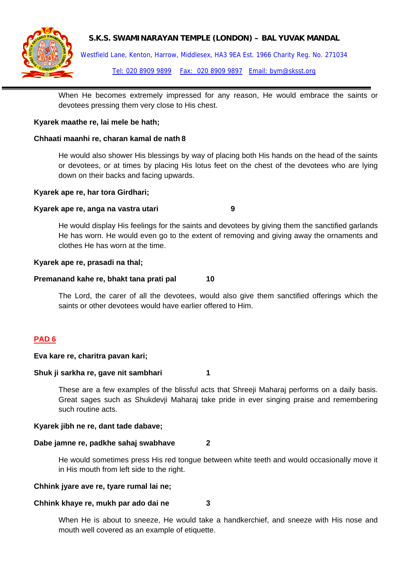## **S.K.S. SWAMINARAYAN TEMPLE (LONDON) – BAL YUVAK MANDAL**



Westfield Lane, Kenton, Harrow, Middlesex, HA3 9EA Est. 1966 Charity Reg. No. 271034 Tel: 020 8909 9899 Fax: 020 8909 9897 Email: bym@sksst.org

When He becomes extremely impressed for any reason, He would embrace the saints or devotees pressing them very close to His chest.

## **Kyarek maathe re, lai mele be hath;**

## **Chhaati maanhi re, charan kamal de nath 8**

He would also shower His blessings by way of placing both His hands on the head of the saints or devotees, or at times by placing His lotus feet on the chest of the devotees who are lying down on their backs and facing upwards.

## **Kyarek ape re, har tora Girdhari;**

## **Kyarek ape re, anga na vastra utari 9**

He would display His feelings for the saints and devotees by giving them the sanctified garlands He has worn. He would even go to the extent of removing and giving away the ornaments and clothes He has worn at the time.

#### **Kyarek ape re, prasadi na thal;**

#### **Premanand kahe re, bhakt tana prati pal 10**

The Lord, the carer of all the devotees, would also give them sanctified offerings which the saints or other devotees would have earlier offered to Him.

## **PAD 6**

#### **Eva kare re, charitra pavan kari;**

#### **Shuk ji sarkha re, gave nit sambhari 1**

These are a few examples of the blissful acts that Shreeji Maharaj performs on a daily basis. Great sages such as Shukdevji Maharaj take pride in ever singing praise and remembering such routine acts.

#### **Kyarek jibh ne re, dant tade dabave;**

#### **Dabe jamne re, padkhe sahaj swabhave 2**

He would sometimes press His red tongue between white teeth and would occasionally move it in His mouth from left side to the right.

## **Chhink jyare ave re, tyare rumal lai ne;**

## **Chhink khaye re, mukh par ado dai ne 3**

When He is about to sneeze, He would take a handkerchief, and sneeze with His nose and mouth well covered as an example of etiquette.